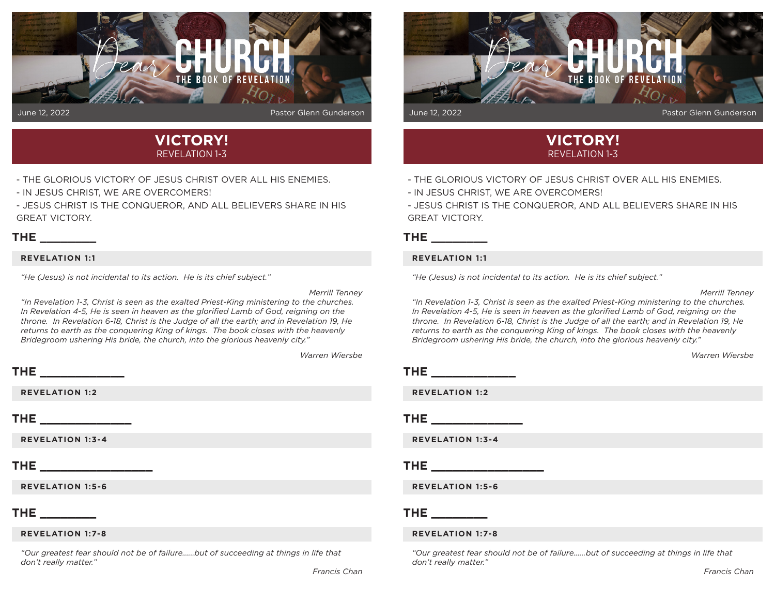



- THE GLORIOUS VICTORY OF JESUS CHRIST OVER ALL HIS ENEMIES.
- IN JESUS CHRIST, WE ARE OVERCOMERS!

- JESUS CHRIST IS THE CONQUEROR, AND ALL BELIEVERS SHARE IN HIS GREAT VICTORY.

## **THE \_\_\_\_\_\_\_\_**

#### **REVELATION 1:1**

**THE \_\_\_\_\_\_\_\_\_\_\_\_** 

*"He (Jesus) is not incidental to its action. He is its chief subject."* 

*Merrill Tenney*

*"In Revelation 1-3, Christ is seen as the exalted Priest-King ministering to the churches.*  In Revelation 4-5, He is seen in heaven as the glorified Lamb of God, reigning on the *throne. In Revelation 6-18, Christ is the Judge of all the earth; and in Revelation 19, He returns to earth as the conquering King of kings. The book closes with the heavenly Bridegroom ushering His bride, the church, into the glorious heavenly city."* 

*Warren Wiersbe*

# **REVELATION 1:2 THE \_\_\_\_\_\_\_\_\_\_\_\_\_ REVELATION 1:3-4 THE \_\_\_\_\_\_\_\_\_\_\_\_\_\_\_\_ REVELATION 1:5-6 THE \_\_\_\_\_\_\_\_ REVELATION 1:7-8**

*"Our greatest fear should not be of failure......but of succeeding at things in life that don't really matter."*



# **VICTORY!** REVELATION 1-3

- THE GLORIOUS VICTORY OF JESUS CHRIST OVER ALL HIS ENEMIES.
- IN JESUS CHRIST, WE ARE OVERCOMERS!
- JESUS CHRIST IS THE CONQUEROR, AND ALL BELIEVERS SHARE IN HIS GREAT VICTORY.

### **THE \_\_\_\_\_\_\_\_**

#### **REVELATION 1:1**

*"He (Jesus) is not incidental to its action. He is its chief subject."* 

#### *Merrill Tenney*

*"In Revelation 1-3, Christ is seen as the exalted Priest-King ministering to the churches. In Revelation 4-5, He is seen in heaven as the glorified Lamb of God, reigning on the throne. In Revelation 6-18, Christ is the Judge of all the earth; and in Revelation 19, He returns to earth as the conquering King of kings. The book closes with the heavenly Bridegroom ushering His bride, the church, into the glorious heavenly city."* 

*Warren Wiersbe*

| тц<br>. |  |  |  |  |
|---------|--|--|--|--|
|         |  |  |  |  |

**REVELATION 1:2**

**THE \_\_\_\_\_\_\_\_\_\_\_\_\_** 

**REVELATION 1:3-4**

**THE \_\_\_\_\_\_\_\_\_\_\_\_\_\_\_\_** 

**REVELATION 1:5-6**

## **THE \_\_\_\_\_\_\_\_**

#### **REVELATION 1:7-8**

*"Our greatest fear should not be of failure......but of succeeding at things in life that don't really matter."*